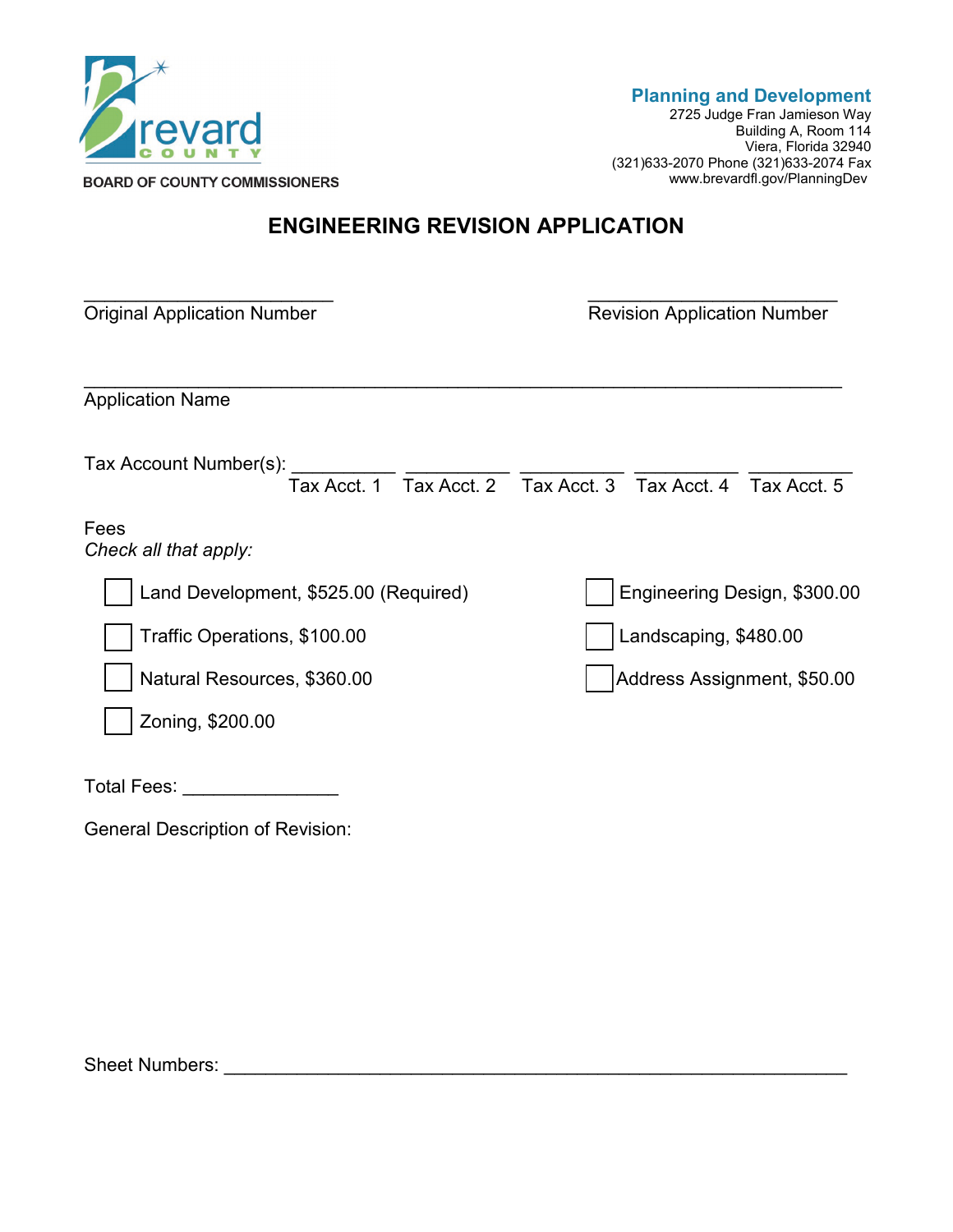

2725 Judge Fran Jamieson Way Building A, Room 114 Viera, Florida 32940 (321)633-2070 Phone (321)633-2074 Fax www.brevardfl.gov/PlanningDev

## **ENGINEERING REVISION APPLICATION**

| <b>Original Application Number</b>                                                            | <b>Revision Application Number</b> |  |  |
|-----------------------------------------------------------------------------------------------|------------------------------------|--|--|
| <b>Application Name</b>                                                                       |                                    |  |  |
| Tax Account Number(s): $\frac{1}{\sqrt{1-x}}$ Tax Acct. 2 Tax Acct. 3 Tax Acct. 4 Tax Acct. 5 |                                    |  |  |
| Fees<br>Check all that apply:                                                                 |                                    |  |  |
| Land Development, \$525.00 (Required)                                                         | Engineering Design, \$300.00       |  |  |
| Traffic Operations, \$100.00                                                                  | Landscaping, \$480.00              |  |  |
| Natural Resources, \$360.00                                                                   | Address Assignment, \$50.00        |  |  |
| Zoning, \$200.00                                                                              |                                    |  |  |
| Total Fees:                                                                                   |                                    |  |  |

General Description of Revision:

Sheet Numbers: \_\_\_\_\_\_\_\_\_\_\_\_\_\_\_\_\_\_\_\_\_\_\_\_\_\_\_\_\_\_\_\_\_\_\_\_\_\_\_\_\_\_\_\_\_\_\_\_\_\_\_\_\_\_\_\_\_\_\_\_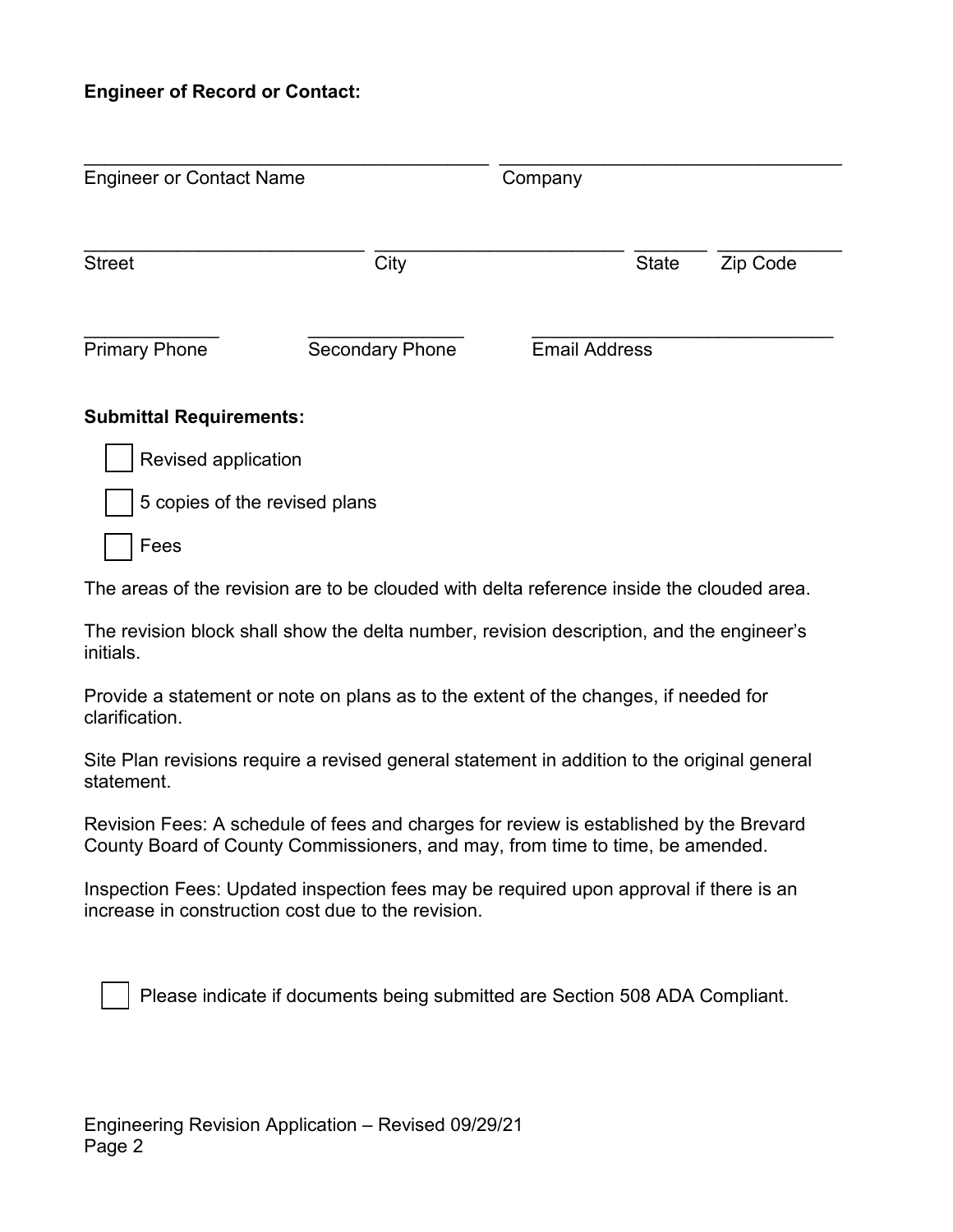## **Engineer of Record or Contact:**

| <b>Engineer or Contact Name</b> |                               | Company              |              |          |
|---------------------------------|-------------------------------|----------------------|--------------|----------|
| <b>Street</b>                   | City                          |                      | <b>State</b> | Zip Code |
| <b>Primary Phone</b>            | <b>Secondary Phone</b>        | <b>Email Address</b> |              |          |
| <b>Submittal Requirements:</b>  |                               |                      |              |          |
| Revised application             |                               |                      |              |          |
|                                 | 5 copies of the revised plans |                      |              |          |

Fees

The areas of the revision are to be clouded with delta reference inside the clouded area.

The revision block shall show the delta number, revision description, and the engineer's initials.

Provide a statement or note on plans as to the extent of the changes, if needed for clarification.

Site Plan revisions require a revised general statement in addition to the original general statement.

Revision Fees: A schedule of fees and charges for review is established by the Brevard County Board of County Commissioners, and may, from time to time, be amended.

Inspection Fees: Updated inspection fees may be required upon approval if there is an increase in construction cost due to the revision.

Please indicate if documents being submitted are Section 508 ADA Compliant.